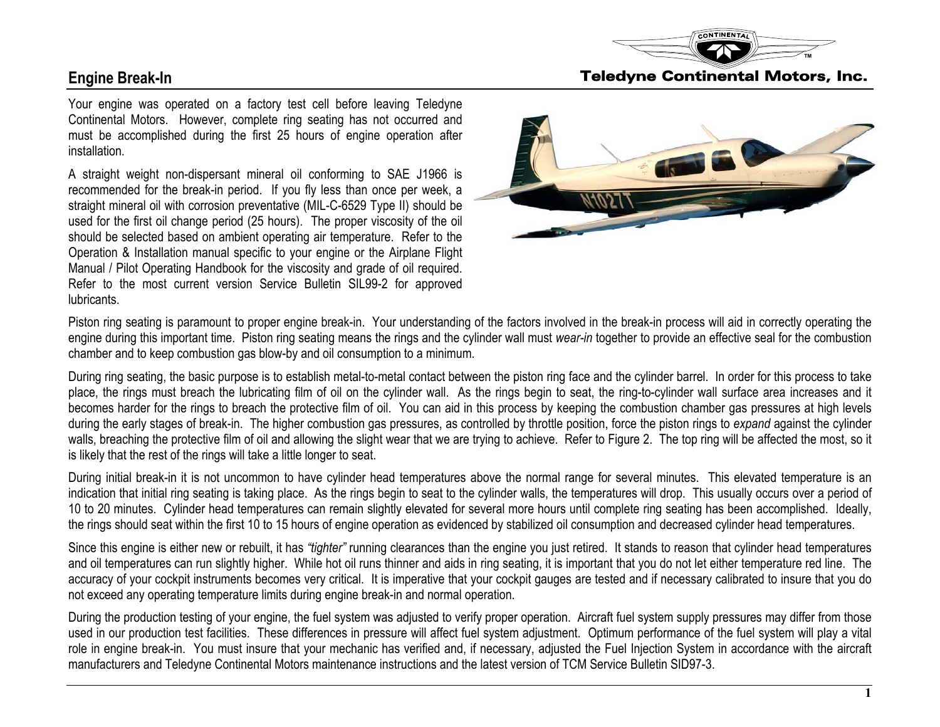

Your engine was operated on a factory test cell before leaving Teledyne Continental Motors. However, complete ring seating has not occurred and must be accomplished during the first 25 hours of engine operation after installation.

A straight weight non-dispersant mineral oil conforming to SAE J1966 is recommended for the break-in period. If you fly less than once per week, a straight mineral oil with corrosion preventative (MIL-C-6529 Type II) should be used for the first oil change period (25 hours). The proper viscosity of the oil should be selected based on ambient operating air temperature. Refer to the Operation & Installation manual specific to your engine or the Airplane Flight Manual / Pilot Operating Handbook for the viscosity and grade of oil required. Refer to the most current version Service Bulletin SIL99-2 for approved lubricants.



Piston ring seating is paramount to proper engine break-in. Your understanding of the factors involved in the break-in process will aid in correctly operating the engine during this important time. Piston ring seating means the rings and the cylinder wall must *wear-in* together to provide an effective seal for the combustion chamber and to keep combustion gas blow-by and oil consumption to a minimum.

During ring seating, the basic purpose is to establish metal-to-metal contact between the piston ring face and the cylinder barrel. In order for this process to take place, the rings must breach the lubricating film of oil on the cylinder wall. As the rings begin to seat, the ring-to-cylinder wall surface area increases and it becomes harder for the rings to breach the protective film of oil. You can aid in this process by keeping the combustion chamber gas pressures at high levels during the early stages of break-in. The higher combustion gas pressures, as controlled by throttle position, force the piston rings to *expand* against the cylinder walls, breaching the protective film of oil and allowing the slight wear that we are trying to achieve. Refer to Figure 2. The top ring will be affected the most, so it is likely that the rest of the rings will take a little longer to seat.

During initial break-in it is not uncommon to have cylinder head temperatures above the normal range for several minutes. This elevated temperature is an indication that initial ring seating is taking place. As the rings begin to seat to the cylinder walls, the temperatures will drop. This usually occurs over a period of 10 to 20 minutes. Cylinder head temperatures can remain slightly elevated for several more hours until complete ring seating has been accomplished. Ideally, the rings should seat within the first 10 to 15 hours of engine operation as evidenced by stabilized oil consumption and decreased cylinder head temperatures.

Since this engine is either new or rebuilt, it has *"tighter"* running clearances than the engine you just retired. It stands to reason that cylinder head temperatures and oil temperatures can run slightly higher. While hot oil runs thinner and aids in ring seating, it is important that you do not let either temperature red line. The accuracy of your cockpit instruments becomes very critical. It is imperative that your cockpit gauges are tested and if necessary calibrated to insure that you do not exceed any operating temperature limits during engine break-in and normal operation.

During the production testing of your engine, the fuel system was adjusted to verify proper operation. Aircraft fuel system supply pressures may differ from those used in our production test facilities. These differences in pressure will affect fuel system adjustment. Optimum performance of the fuel system will play a vital role in engine break-in. You must insure that your mechanic has verified and, if necessary, adjusted the Fuel Injection System in accordance with the aircraft manufacturers and Teledyne Continental Motors maintenance instructions and the latest version of TCM Service Bulletin SID97-3.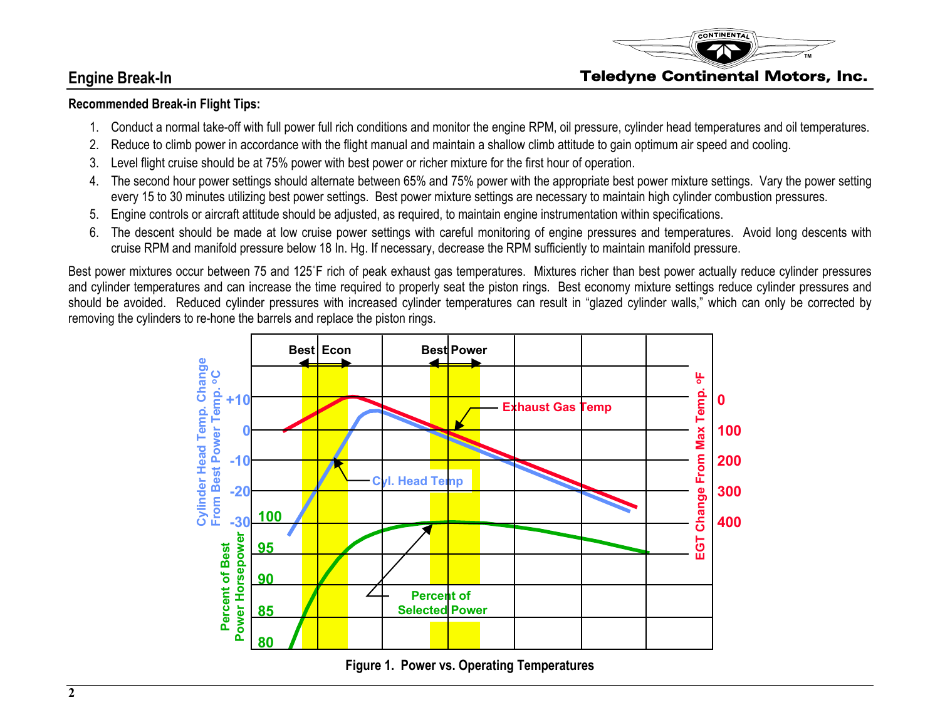

## **Recommended Break-in Flight Tips:**

- 1. Conduct a normal take-off with full power full rich conditions and monitor the engine RPM, oil pressure, cylinder head temperatures and oil temperatures.
- 2. Reduce to climb power in accordance with the flight manual and maintain a shallow climb attitude to gain optimum air speed and cooling.
- 3. Level flight cruise should be at 75% power with best power or richer mixture for the first hour of operation.
- 4. The second hour power settings should alternate between 65% and 75% power with the appropriate best power mixture settings. Vary the power setting every 15 to 30 minutes utilizing best power settings. Best power mixture settings are necessary to maintain high cylinder combustion pressures.
- 5. Engine controls or aircraft attitude should be adjusted, as required, to maintain engine instrumentation within specifications.
- 6. The descent should be made at low cruise power settings with careful monitoring of engine pressures and temperatures. Avoid long descents with cruise RPM and manifold pressure below 18 In. Hg. If necessary, decrease the RPM sufficiently to maintain manifold pressure.

Best power mixtures occur between 75 and 125˚F rich of peak exhaust gas temperatures. Mixtures richer than best power actually reduce cylinder pressures and cylinder temperatures and can increase the time required to properly seat the piston rings. Best economy mixture settings reduce cylinder pressures and should be avoided. Reduced cylinder pressures with increased cylinder temperatures can result in "glazed cylinder walls," which can only be corrected by removing the cylinders to re-hone the barrels and replac <sup>e</sup> the piston rings.



**Figure 1. Power vs. Operating Temperatures**